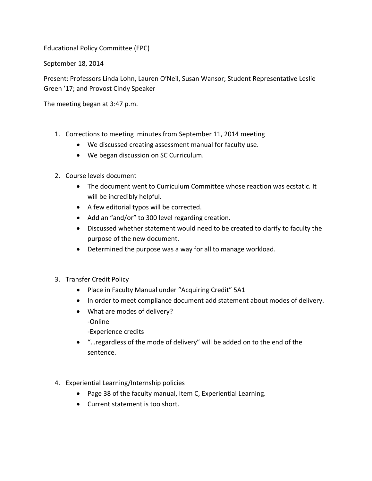Educational Policy Committee (EPC)

September 18, 2014

Present: Professors Linda Lohn, Lauren O'Neil, Susan Wansor; Student Representative Leslie Green '17; and Provost Cindy Speaker

The meeting began at 3:47 p.m.

- 1. Corrections to meeting minutes from September 11, 2014 meeting
	- We discussed creating assessment manual for faculty use.
	- We began discussion on SC Curriculum.
- 2. Course levels document
	- The document went to Curriculum Committee whose reaction was ecstatic. It will be incredibly helpful.
	- A few editorial typos will be corrected.
	- Add an "and/or" to 300 level regarding creation.
	- Discussed whether statement would need to be created to clarify to faculty the purpose of the new document.
	- Determined the purpose was a way for all to manage workload.
- 3. Transfer Credit Policy
	- Place in Faculty Manual under "Acquiring Credit" 5A1
	- In order to meet compliance document add statement about modes of delivery.
	- What are modes of delivery? -Online
		- -Experience credits
	- "…regardless of the mode of delivery" will be added on to the end of the sentence.
- 4. Experiential Learning/Internship policies
	- Page 38 of the faculty manual, Item C, Experiential Learning.
	- Current statement is too short.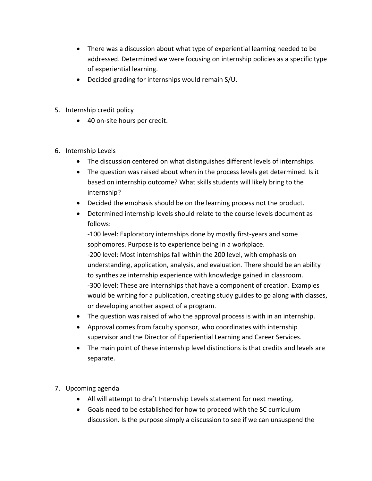- There was a discussion about what type of experiential learning needed to be addressed. Determined we were focusing on internship policies as a specific type of experiential learning.
- Decided grading for internships would remain S/U.
- 5. Internship credit policy
	- 40 on-site hours per credit.
- 6. Internship Levels
	- The discussion centered on what distinguishes different levels of internships.
	- The question was raised about when in the process levels get determined. Is it based on internship outcome? What skills students will likely bring to the internship?
	- Decided the emphasis should be on the learning process not the product.
	- Determined internship levels should relate to the course levels document as follows:

-100 level: Exploratory internships done by mostly first-years and some sophomores. Purpose is to experience being in a workplace. -200 level: Most internships fall within the 200 level, with emphasis on understanding, application, analysis, and evaluation. There should be an ability to synthesize internship experience with knowledge gained in classroom. -300 level: These are internships that have a component of creation. Examples would be writing for a publication, creating study guides to go along with classes, or developing another aspect of a program.

- The question was raised of who the approval process is with in an internship.
- Approval comes from faculty sponsor, who coordinates with internship supervisor and the Director of Experiential Learning and Career Services.
- The main point of these internship level distinctions is that credits and levels are separate.
- 7. Upcoming agenda
	- All will attempt to draft Internship Levels statement for next meeting.
	- Goals need to be established for how to proceed with the SC curriculum discussion. Is the purpose simply a discussion to see if we can unsuspend the